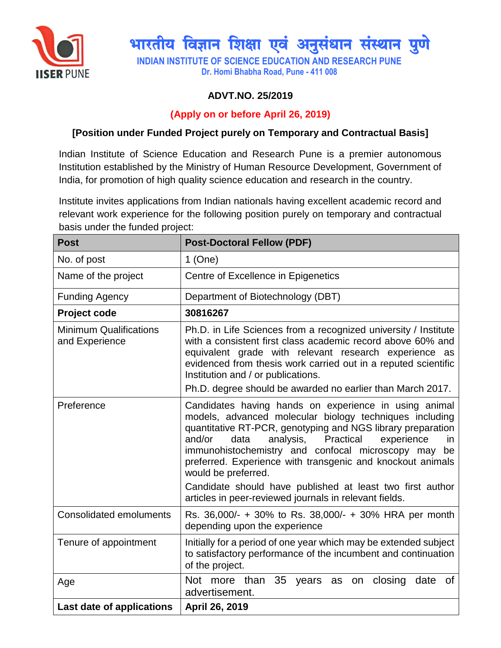

# भारतीय विज्ञान शिक्षा एवं अनुसंधान संस्थान पुणे

**INDIAN INSTITUTE OF SCIENCE EDUCATION AND RESEARCH PUNE Dr. Homi Bhabha Road, Pune - 411 008**

## **ADVT.NO. 25/2019**

### **(Apply on or before April 26, 2019)**

#### **[Position under Funded Project purely on Temporary and Contractual Basis]**

Indian Institute of Science Education and Research Pune is a premier autonomous Institution established by the Ministry of Human Resource Development, Government of India, for promotion of high quality science education and research in the country.

Institute invites applications from Indian nationals having excellent academic record and relevant work experience for the following position purely on temporary and contractual basis under the funded project:

| <b>Post</b>                                     | <b>Post-Doctoral Fellow (PDF)</b>                                                                                                                                                                                                                                                                                                                                                                                                                                                                                      |
|-------------------------------------------------|------------------------------------------------------------------------------------------------------------------------------------------------------------------------------------------------------------------------------------------------------------------------------------------------------------------------------------------------------------------------------------------------------------------------------------------------------------------------------------------------------------------------|
| No. of post                                     | $1$ (One)                                                                                                                                                                                                                                                                                                                                                                                                                                                                                                              |
| Name of the project                             | Centre of Excellence in Epigenetics                                                                                                                                                                                                                                                                                                                                                                                                                                                                                    |
| <b>Funding Agency</b>                           | Department of Biotechnology (DBT)                                                                                                                                                                                                                                                                                                                                                                                                                                                                                      |
| Project code                                    | 30816267                                                                                                                                                                                                                                                                                                                                                                                                                                                                                                               |
| <b>Minimum Qualifications</b><br>and Experience | Ph.D. in Life Sciences from a recognized university / Institute<br>with a consistent first class academic record above 60% and<br>equivalent grade with relevant research experience as<br>evidenced from thesis work carried out in a reputed scientific<br>Institution and / or publications.<br>Ph.D. degree should be awarded no earlier than March 2017.                                                                                                                                                          |
| Preference                                      | Candidates having hands on experience in using animal<br>models, advanced molecular biology techniques including<br>quantitative RT-PCR, genotyping and NGS library preparation<br>and/or<br>analysis,<br>Practical<br>experience<br>data<br>in.<br>immunohistochemistry and confocal microscopy may<br>be<br>preferred. Experience with transgenic and knockout animals<br>would be preferred.<br>Candidate should have published at least two first author<br>articles in peer-reviewed journals in relevant fields. |
| <b>Consolidated emoluments</b>                  | Rs. 36,000/- + 30% to Rs. 38,000/- + 30% HRA per month<br>depending upon the experience                                                                                                                                                                                                                                                                                                                                                                                                                                |
| Tenure of appointment                           | Initially for a period of one year which may be extended subject<br>to satisfactory performance of the incumbent and continuation<br>of the project.                                                                                                                                                                                                                                                                                                                                                                   |
| Age                                             | Not more than 35<br>closing<br>date<br>0f<br>years as on<br>advertisement.                                                                                                                                                                                                                                                                                                                                                                                                                                             |
| Last date of applications                       | April 26, 2019                                                                                                                                                                                                                                                                                                                                                                                                                                                                                                         |